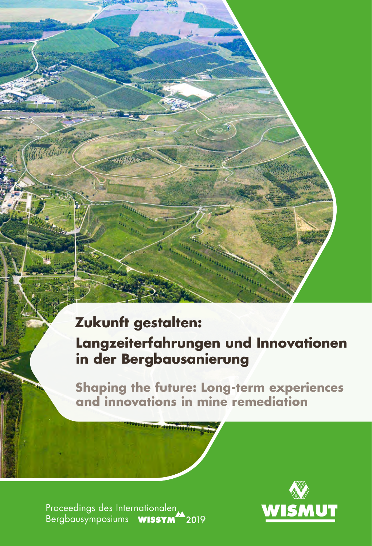# **Zukunft gestalten:**

Wellington

## **Langzeiterfahrungen und Innovationen in der Bergbausanierung**

**Shaping the future: Long-term experiences and innovations in mine remediation**

Proceedings des Internationalen Bergbausymposiums **WISSYM<sup>44</sup>2019** 

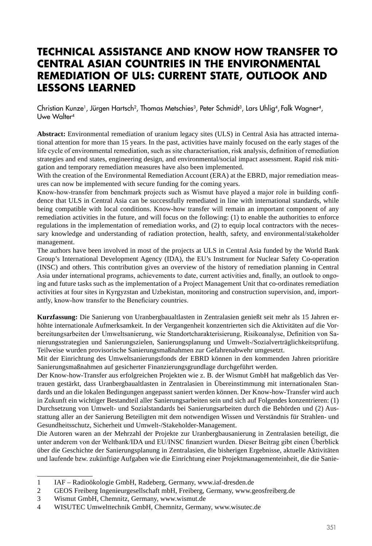### **TECHNICAL ASSISTANCE AND KNOW HOW TRANSFER TO CENTRAL ASIAN COUNTRIES IN THE ENVIRONMENTAL REMEDIATION OF ULS: CURRENT STATE, OUTLOOK AND LESSONS LEARNED**

Christian Kunze<sup>1</sup>, Jürgen Hartsch<sup>2</sup>, Thomas Metschies<sup>3</sup>, Peter Schmidt<sup>3</sup>, Lars Uhlig<sup>4</sup>, Falk Wagner<sup>4</sup>, Uwe Walter<sup>4</sup>

**Abstract:** Environmental remediation of uranium legacy sites (ULS) in Central Asia has attracted international attention for more than 15 years. In the past, activities have mainly focused on the early stages of the life cycle of environmental remediation, such as site characterisation, risk analysis, definition of remediation strategies and end states, engineering design, and environmental/social impact assessment. Rapid risk mitigation and temporary remediation measures have also been implemented.

With the creation of the Environmental Remediation Account (ERA) at the EBRD, major remediation measures can now be implemented with secure funding for the coming years.

Know-how-transfer from benchmark projects such as Wismut have played a major role in building confidence that ULS in Central Asia can be successfully remediated in line with international standards, while being compatible with local conditions. Know-how transfer will remain an important component of any remediation activities in the future, and will focus on the following: (1) to enable the authorities to enforce regulations in the implementation of remediation works, and (2) to equip local contractors with the necessary knowledge and understanding of radiation protection, health, safety, and environmental/stakeholder management.

The authors have been involved in most of the projects at ULS in Central Asia funded by the World Bank Group's International Development Agency (IDA), the EU's Instrument for Nuclear Safety Co-operation (INSC) and others. This contribution gives an overview of the history of remediation planning in Central Asia under international programs, achievements to date, current activities and, finally, an outlook to ongoing and future tasks such as the implementation of a Project Management Unit that co-ordinates remediation activities at four sites in Kyrgyzstan and Uzbekistan, monitoring and construction supervision, and, importantly, know-how transfer to the Beneficiary countries.

**Kurzfassung:** Die Sanierung von Uranbergbaualtlasten in Zentralasien genießt seit mehr als 15 Jahren erhöhte internationale Aufmerksamkeit. In der Vergangenheit konzentrierten sich die Aktivitäten auf die Vorbereitungsarbeiten der Umweltsanierung, wie Standortcharakterisierung, Risikoanalyse, Definition von Sanierungsstrategien und Sanierungszielen, Sanierungsplanung und Umwelt-/Sozialverträglichkeitsprüfung. Teilweise wurden provisorische Sanierungsmaßnahmen zur Gefahrenabwehr umgesetzt.

Mit der Einrichtung des Umweltsanierungsfonds der EBRD können in den kommenden Jahren prioritäre Sanierungsmaßnahmen auf gesicherter Finanzierungsgrundlage durchgeführt werden.

Der Know-how-Transfer aus erfolgreichen Projekten wie z. B. der Wismut GmbH hat maßgeblich das Vertrauen gestärkt, dass Uranbergbaualtlasten in Zentralasien in Übereinstimmung mit internationalen Standards und an die lokalen Bedingungen angepasst saniert werden können. Der Know-how-Transfer wird auch in Zukunft ein wichtiger Bestandteil aller Sanierungsarbeiten sein und sich auf Folgendes konzentrieren: (1) Durchsetzung von Umwelt- und Sozialstandards bei Sanierungsarbeiten durch die Behörden und (2) Ausstattung aller an der Sanierung Beteiligten mit dem notwendigen Wissen und Verständnis für Strahlen- und Gesundheitsschutz, Sicherheit und Umwelt-/Stakeholder-Management.

Die Autoren waren an der Mehrzahl der Projekte zur Uranbergbausanierung in Zentralasien beteiligt, die unter anderem von der Weltbank/IDA und EU/INSC finanziert wurden. Dieser Beitrag gibt einen Überblick über die Geschichte der Sanierungsplanung in Zentralasien, die bisherigen Ergebnisse, aktuelle Aktivitäten und laufende bzw. zukünftige Aufgaben wie die Einrichtung einer Projektmanagementeinheit, die die Sanie-

<sup>1</sup> IAF – Radioökologie GmbH, Radeberg, Germany, [www.iaf-dresden.de](http://www.iaf-dresden.de)

<sup>2</sup> GEOS Freiberg Ingenieurgesellschaft mbH, Freiberg, Germany, [www.geosfreiberg.de](http://www.geosfreiberg.de)

<sup>3</sup> Wismut GmbH, Chemnitz, Germany, [www.wismut.de](http://www.wismut.de)<br>4 WISUTEC Umwelttechnik GmbH, Chemnitz, German

<sup>4</sup> WISUTEC Umwelttechnik GmbH, Chemnitz, Germany, [www.wisutec.de](http://www.wisutec.de)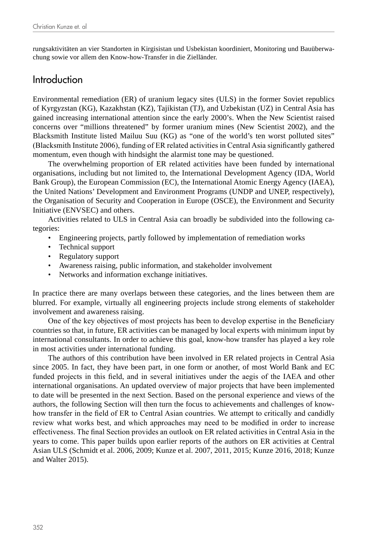rungsaktivitäten an vier Standorten in Kirgisistan und Usbekistan koordiniert, Monitoring und Bauüberwachung sowie vor allem den Know-how-Transfer in die Zielländer.

#### Introduction

Environmental remediation (ER) of uranium legacy sites (ULS) in the former Soviet republics of Kyrgyzstan (KG), Kazakhstan (KZ), Tajikistan (TJ), and Uzbekistan (UZ) in Central Asia has gained increasing international attention since the early 2000's. When the New Scientist raised concerns over "millions threatened" by former uranium mines (New Scientist 2002), and the Blacksmith Institute listed Mailuu Suu (KG) as "one of the world's ten worst polluted sites" (Blacksmith Institute 2006), funding of ER related activities in Central Asia significantly gathered momentum, even though with hindsight the alarmist tone may be questioned.

The overwhelming proportion of ER related activities have been funded by international organisations, including but not limited to, the International Development Agency (IDA, World Bank Group), the European Commission (EC), the International Atomic Energy Agency (IAEA), the United Nations' Development and Environment Programs (UNDP and UNEP, respectively), the Organisation of Security and Cooperation in Europe (OSCE), the Environment and Security Initiative (ENVSEC) and others.

Activities related to ULS in Central Asia can broadly be subdivided into the following categories:

- Engineering projects, partly followed by implementation of remediation works
- Technical support
- Regulatory support
- Awareness raising, public information, and stakeholder involvement
- Networks and information exchange initiatives.

In practice there are many overlaps between these categories, and the lines between them are blurred. For example, virtually all engineering projects include strong elements of stakeholder involvement and awareness raising.

One of the key objectives of most projects has been to develop expertise in the Beneficiary countries so that, in future, ER activities can be managed by local experts with minimum input by international consultants. In order to achieve this goal, know-how transfer has played a key role in most activities under international funding.

The authors of this contribution have been involved in ER related projects in Central Asia since 2005. In fact, they have been part, in one form or another, of most World Bank and EC funded projects in this field, and in several initiatives under the aegis of the IAEA and other international organisations. An updated overview of major projects that have been implemented to date will be presented in the next Section. Based on the personal experience and views of the authors, the following Section will then turn the focus to achievements and challenges of knowhow transfer in the field of ER to Central Asian countries. We attempt to critically and candidly review what works best, and which approaches may need to be modified in order to increase effectiveness. The final Section provides an outlook on ER related activities in Central Asia in the years to come. This paper builds upon earlier reports of the authors on ER activities at Central Asian ULS (Schmidt et al. 2006, 2009; Kunze et al. 2007, 2011, 2015; Kunze 2016, 2018; Kunze and Walter 2015).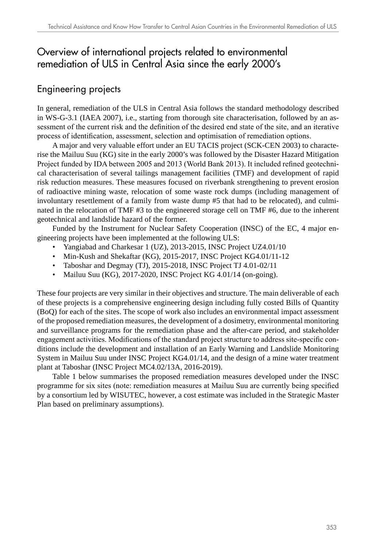## Overview of international projects related to environmental remediation of ULS in Central Asia since the early 2000's

#### Engineering projects

In general, remediation of the ULS in Central Asia follows the standard methodology described in WS-G-3.1 (IAEA 2007), i.e., starting from thorough site characterisation, followed by an assessment of the current risk and the definition of the desired end state of the site, and an iterative process of identification, assessment, selection and optimisation of remediation options.

A major and very valuable effort under an EU TACIS project (SCK-CEN 2003) to characterise the Mailuu Suu (KG) site in the early 2000's was followed by the Disaster Hazard Mitigation Project funded by IDA between 2005 and 2013 (World Bank 2013). It included refined geotechnical characterisation of several tailings management facilities (TMF) and development of rapid risk reduction measures. These measures focused on riverbank strengthening to prevent erosion of radioactive mining waste, relocation of some waste rock dumps (including management of involuntary resettlement of a family from waste dump #5 that had to be relocated), and culminated in the relocation of TMF #3 to the engineered storage cell on TMF #6, due to the inherent geotechnical and landslide hazard of the former.

Funded by the Instrument for Nuclear Safety Cooperation (INSC) of the EC, 4 major engineering projects have been implemented at the following ULS:

- Yangiabad and Charkesar 1 (UZ), 2013-2015, INSC Project UZ4.01/10
- Min-Kush and Shekaftar (KG), 2015-2017, INSC Project KG4.01/11-12
- Taboshar and Degmay (TJ), 2015-2018, INSC Project TJ 4.01-02/11
- Mailuu Suu (KG), 2017-2020, INSC Project KG 4.01/14 (on-going).

These four projects are very similar in their objectives and structure. The main deliverable of each of these projects is a comprehensive engineering design including fully costed Bills of Quantity (BoQ) for each of the sites. The scope of work also includes an environmental impact assessment of the proposed remediation measures, the development of a dosimetry, environmental monitoring and surveillance programs for the remediation phase and the after-care period, and stakeholder engagement activities. Modifications of the standard project structure to address site-specific conditions include the development and installation of an Early Warning and Landslide Monitoring System in Mailuu Suu under INSC Project KG4.01/14, and the design of a mine water treatment plant at Taboshar (INSC Project MC4.02/13A, 2016-2019).

Table 1 below summarises the proposed remediation measures developed under the INSC programme for six sites (note: remediation measures at Mailuu Suu are currently being specified by a consortium led by WISUTEC, however, a cost estimate was included in the Strategic Master Plan based on preliminary assumptions).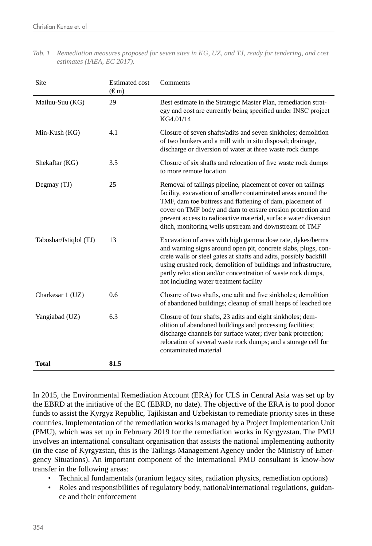| Site                   | <b>Estimated cost</b><br>$(\text{\ensuremath{\mathfrak{E}}\,}{}^m)$ | Comments                                                                                                                                                                                                                                                                                                                                                                              |
|------------------------|---------------------------------------------------------------------|---------------------------------------------------------------------------------------------------------------------------------------------------------------------------------------------------------------------------------------------------------------------------------------------------------------------------------------------------------------------------------------|
| Mailuu-Suu (KG)        | 29                                                                  | Best estimate in the Strategic Master Plan, remediation strat-<br>egy and cost are currently being specified under INSC project<br>KG4.01/14                                                                                                                                                                                                                                          |
| Min-Kush (KG)          | 4.1                                                                 | Closure of seven shafts/adits and seven sinkholes; demolition<br>of two bunkers and a mill with in situ disposal; drainage,<br>discharge or diversion of water at three waste rock dumps                                                                                                                                                                                              |
| Shekaftar (KG)         | 3.5                                                                 | Closure of six shafts and relocation of five waste rock dumps<br>to more remote location                                                                                                                                                                                                                                                                                              |
| Degmay (TJ)            | 25                                                                  | Removal of tailings pipeline, placement of cover on tailings<br>facility, excavation of smaller contaminated areas around the<br>TMF, dam toe buttress and flattening of dam, placement of<br>cover on TMF body and dam to ensure erosion protection and<br>prevent access to radioactive material, surface water diversion<br>ditch, monitoring wells upstream and downstream of TMF |
| Taboshar/Istiqlol (TJ) | 13                                                                  | Excavation of areas with high gamma dose rate, dykes/berms<br>and warning signs around open pit, concrete slabs, plugs, con-<br>crete walls or steel gates at shafts and adits, possibly backfill<br>using crushed rock, demolition of buildings and infrastructure,<br>partly relocation and/or concentration of waste rock dumps,<br>not including water treatment facility         |
| Charkesar 1 (UZ)       | 0.6                                                                 | Closure of two shafts, one adit and five sinkholes; demolition<br>of abandoned buildings; cleanup of small heaps of leached ore                                                                                                                                                                                                                                                       |
| Yangiabad (UZ)         | 6.3                                                                 | Closure of four shafts, 23 adits and eight sinkholes; dem-<br>olition of abandoned buildings and processing facilities;<br>discharge channels for surface water; river bank protection;<br>relocation of several waste rock dumps; and a storage cell for<br>contaminated material                                                                                                    |
| <b>Total</b>           | 81.5                                                                |                                                                                                                                                                                                                                                                                                                                                                                       |

*Tab. 1 Remediation measures proposed for seven sites in KG, UZ, and TJ, ready for tendering, and cost estimates (IAEA, EC 2017).*

In 2015, the Environmental Remediation Account (ERA) for ULS in Central Asia was set up by the EBRD at the initiative of the EC (EBRD, no date). The objective of the ERA is to pool donor funds to assist the Kyrgyz Republic, Tajikistan and Uzbekistan to remediate priority sites in these countries. Implementation of the remediation works is managed by a Project Implementation Unit (PMU), which was set up in February 2019 for the remediation works in Kyrgyzstan. The PMU involves an international consultant organisation that assists the national implementing authority (in the case of Kyrgyzstan, this is the Tailings Management Agency under the Ministry of Emergency Situations). An important component of the international PMU consultant is know-how transfer in the following areas:

- Technical fundamentals (uranium legacy sites, radiation physics, remediation options)
- Roles and responsibilities of regulatory body, national/international regulations, guidance and their enforcement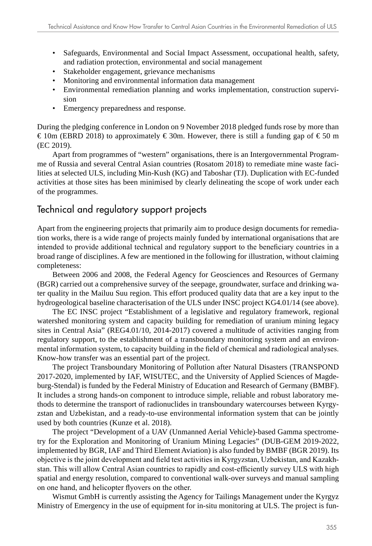- Safeguards, Environmental and Social Impact Assessment, occupational health, safety, and radiation protection, environmental and social management
- Stakeholder engagement, grievance mechanisms
- Monitoring and environmental information data management
- Environmental remediation planning and works implementation, construction supervision
- Emergency preparedness and response.

During the pledging conference in London on 9 November 2018 pledged funds rose by more than € 10m (EBRD 2018) to approximately  $\in$  30m. However, there is still a funding gap of  $\in$  50 m (EC 2019).

Apart from programmes of "western" organisations, there is an Intergovernmental Programme of Russia and several Central Asian countries (Rosatom 2018) to remediate mine waste facilities at selected ULS, including Min-Kush (KG) and Taboshar (TJ). Duplication with EC-funded activities at those sites has been minimised by clearly delineating the scope of work under each of the programmes.

#### Technical and regulatory support projects

Apart from the engineering projects that primarily aim to produce design documents for remediation works, there is a wide range of projects mainly funded by international organisations that are intended to provide additional technical and regulatory support to the beneficiary countries in a broad range of disciplines. A few are mentioned in the following for illustration, without claiming completeness:

Between 2006 and 2008, the Federal Agency for Geosciences and Resources of Germany (BGR) carried out a comprehensive survey of the seepage, groundwater, surface and drinking water quality in the Mailuu Suu region. This effort produced quality data that are a key input to the hydrogeological baseline characterisation of the ULS under INSC project KG4.01/14 (see above).

The EC INSC project "Establishment of a legislative and regulatory framework, regional watershed monitoring system and capacity building for remediation of uranium mining legacy sites in Central Asia" (REG4.01/10, 2014-2017) covered a multitude of activities ranging from regulatory support, to the establishment of a transboundary monitoring system and an environmental information system, to capacity building in the field of chemical and radiological analyses. Know-how transfer was an essential part of the project.

The project Transboundary Monitoring of Pollution after Natural Disasters (TRANSPOND 2017-2020, implemented by IAF, WISUTEC, and the University of Applied Sciences of Magdeburg-Stendal) is funded by the Federal Ministry of Education and Research of Germany (BMBF). It includes a strong hands-on component to introduce simple, reliable and robust laboratory methods to determine the transport of radionuclides in transboundary watercourses between Kyrgyzstan and Uzbekistan, and a ready-to-use environmental information system that can be jointly used by both countries (Kunze et al. 2018).

The project "Development of a UAV (Unmanned Aerial Vehicle)-based Gamma spectrometry for the Exploration and Monitoring of Uranium Mining Legacies" (DUB-GEM 2019-2022, implemented by BGR, IAF and Third Element Aviation) is also funded by BMBF (BGR 2019). Its objective is the joint development and field test activities in Kyrgyzstan, Uzbekistan, and Kazakhstan. This will allow Central Asian countries to rapidly and cost-efficiently survey ULS with high spatial and energy resolution, compared to conventional walk-over surveys and manual sampling on one hand, and helicopter flyovers on the other.

Wismut GmbH is currently assisting the Agency for Tailings Management under the Kyrgyz Ministry of Emergency in the use of equipment for in-situ monitoring at ULS. The project is fun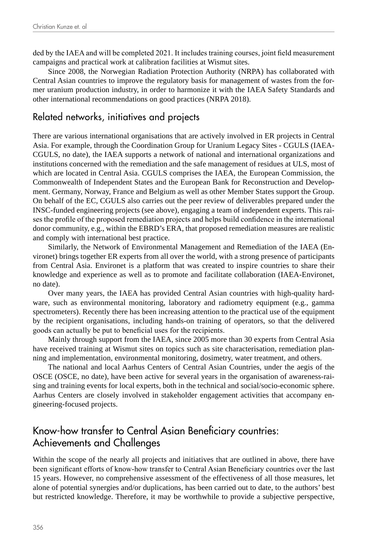ded by the IAEA and will be completed 2021. It includes training courses, joint field measurement campaigns and practical work at calibration facilities at Wismut sites.

Since 2008, the Norwegian Radiation Protection Authority (NRPA) has collaborated with Central Asian countries to improve the regulatory basis for management of wastes from the former uranium production industry, in order to harmonize it with the IAEA Safety Standards and other international recommendations on good practices (NRPA 2018).

#### Related networks, initiatives and projects

There are various international organisations that are actively involved in ER projects in Central Asia. For example, through the Coordination Group for Uranium Legacy Sites - CGULS (IAEA-CGULS, no date), the IAEA supports a network of national and international organizations and institutions concerned with the remediation and the safe management of residues at ULS, most of which are located in Central Asia. CGULS comprises the IAEA, the European Commission, the Commonwealth of Independent States and the European Bank for Reconstruction and Development. Germany, Norway, France and Belgium as well as other Member States support the Group. On behalf of the EC, CGULS also carries out the peer review of deliverables prepared under the INSC-funded engineering projects (see above), engaging a team of independent experts. This raises the profile of the proposed remediation projects and helps build confidence in the international donor community, e.g., within the EBRD's ERA, that proposed remediation measures are realistic and comply with international best practice.

Similarly, the Network of Environmental Management and Remediation of the IAEA (Environet) brings together ER experts from all over the world, with a strong presence of participants from Central Asia. Environet is a platform that was created to inspire countries to share their knowledge and experience as well as to promote and facilitate collaboration (IAEA-Environet, no date).

Over many years, the IAEA has provided Central Asian countries with high-quality hardware, such as environmental monitoring, laboratory and radiometry equipment (e.g., gamma spectrometers). Recently there has been increasing attention to the practical use of the equipment by the recipient organisations, including hands-on training of operators, so that the delivered goods can actually be put to beneficial uses for the recipients.

Mainly through support from the IAEA, since 2005 more than 30 experts from Central Asia have received training at Wismut sites on topics such as site characterisation, remediation planning and implementation, environmental monitoring, dosimetry, water treatment, and others.

The national and local Aarhus Centers of Central Asian Countries, under the aegis of the OSCE (OSCE, no date), have been active for several years in the organisation of awareness-raising and training events for local experts, both in the technical and social/socio-economic sphere. Aarhus Centers are closely involved in stakeholder engagement activities that accompany engineering-focused projects.

## Know-how transfer to Central Asian Beneficiary countries: Achievements and Challenges

Within the scope of the nearly all projects and initiatives that are outlined in above, there have been significant efforts of know-how transfer to Central Asian Beneficiary countries over the last 15 years. However, no comprehensive assessment of the effectiveness of all those measures, let alone of potential synergies and/or duplications, has been carried out to date, to the authors' best but restricted knowledge. Therefore, it may be worthwhile to provide a subjective perspective,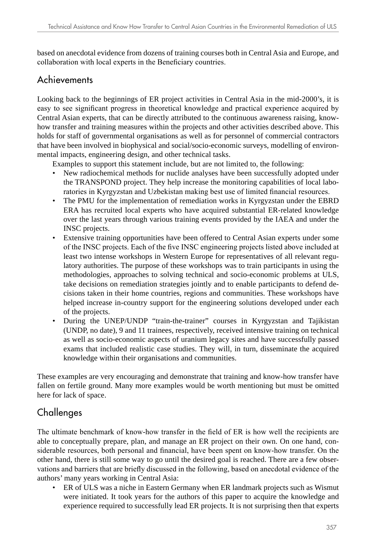based on anecdotal evidence from dozens of training courses both in Central Asia and Europe, and collaboration with local experts in the Beneficiary countries.

#### Achievements

Looking back to the beginnings of ER project activities in Central Asia in the mid-2000's, it is easy to see significant progress in theoretical knowledge and practical experience acquired by Central Asian experts, that can be directly attributed to the continuous awareness raising, knowhow transfer and training measures within the projects and other activities described above. This holds for staff of governmental organisations as well as for personnel of commercial contractors that have been involved in biophysical and social/socio-economic surveys, modelling of environmental impacts, engineering design, and other technical tasks.

Examples to support this statement include, but are not limited to, the following:

- New radiochemical methods for nuclide analyses have been successfully adopted under the TRANSPOND project. They help increase the monitoring capabilities of local laboratories in Kyrgyzstan and Uzbekistan making best use of limited financial resources.
- The PMU for the implementation of remediation works in Kyrgyzstan under the EBRD ERA has recruited local experts who have acquired substantial ER-related knowledge over the last years through various training events provided by the IAEA and under the INSC projects.
- Extensive training opportunities have been offered to Central Asian experts under some of the INSC projects. Each of the five INSC engineering projects listed above included at least two intense workshops in Western Europe for representatives of all relevant regulatory authorities. The purpose of these workshops was to train participants in using the methodologies, approaches to solving technical and socio-economic problems at ULS, take decisions on remediation strategies jointly and to enable participants to defend decisions taken in their home countries, regions and communities. These workshops have helped increase in-country support for the engineering solutions developed under each of the projects.
- During the UNEP/UNDP "train-the-trainer" courses in Kyrgyzstan and Tajikistan (UNDP, no date), 9 and 11 trainees, respectively, received intensive training on technical as well as socio-economic aspects of uranium legacy sites and have successfully passed exams that included realistic case studies. They will, in turn, disseminate the acquired knowledge within their organisations and communities.

These examples are very encouraging and demonstrate that training and know-how transfer have fallen on fertile ground. Many more examples would be worth mentioning but must be omitted here for lack of space.

## **Challenges**

The ultimate benchmark of know-how transfer in the field of ER is how well the recipients are able to conceptually prepare, plan, and manage an ER project on their own. On one hand, considerable resources, both personal and financial, have been spent on know-how transfer. On the other hand, there is still some way to go until the desired goal is reached. There are a few observations and barriers that are briefly discussed in the following, based on anecdotal evidence of the authors' many years working in Central Asia:

• ER of ULS was a niche in Eastern Germany when ER landmark projects such as Wismut were initiated. It took years for the authors of this paper to acquire the knowledge and experience required to successfully lead ER projects. It is not surprising then that experts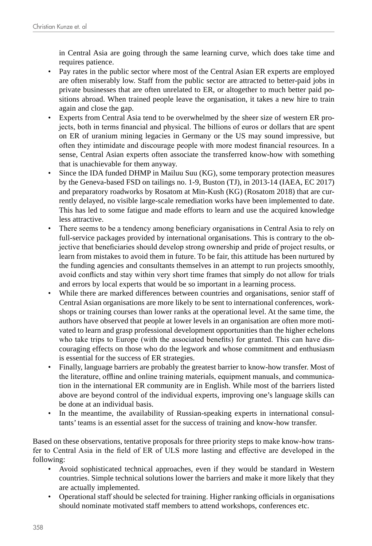in Central Asia are going through the same learning curve, which does take time and requires patience.

- Pay rates in the public sector where most of the Central Asian ER experts are employed are often miserably low. Staff from the public sector are attracted to better-paid jobs in private businesses that are often unrelated to ER, or altogether to much better paid positions abroad. When trained people leave the organisation, it takes a new hire to train again and close the gap.
- Experts from Central Asia tend to be overwhelmed by the sheer size of western ER projects, both in terms financial and physical. The billions of euros or dollars that are spent on ER of uranium mining legacies in Germany or the US may sound impressive, but often they intimidate and discourage people with more modest financial resources. In a sense, Central Asian experts often associate the transferred know-how with something that is unachievable for them anyway.
- Since the IDA funded DHMP in Mailuu Suu (KG), some temporary protection measures by the Geneva-based FSD on tailings no. 1-9, Buston (TJ), in 2013-14 (IAEA, EC 2017) and preparatory roadworks by Rosatom at Min-Kush (KG) (Rosatom 2018) that are currently delayed, no visible large-scale remediation works have been implemented to date. This has led to some fatigue and made efforts to learn and use the acquired knowledge less attractive.
- There seems to be a tendency among beneficiary organisations in Central Asia to rely on full-service packages provided by international organisations. This is contrary to the objective that beneficiaries should develop strong ownership and pride of project results, or learn from mistakes to avoid them in future. To be fair, this attitude has been nurtured by the funding agencies and consultants themselves in an attempt to run projects smoothly, avoid conflicts and stay within very short time frames that simply do not allow for trials and errors by local experts that would be so important in a learning process.
- While there are marked differences between countries and organisations, senior staff of Central Asian organisations are more likely to be sent to international conferences, workshops or training courses than lower ranks at the operational level. At the same time, the authors have observed that people at lower levels in an organisation are often more motivated to learn and grasp professional development opportunities than the higher echelons who take trips to Europe (with the associated benefits) for granted. This can have discouraging effects on those who do the legwork and whose commitment and enthusiasm is essential for the success of ER strategies.
- Finally, language barriers are probably the greatest barrier to know-how transfer. Most of the literature, offline and online training materials, equipment manuals, and communication in the international ER community are in English. While most of the barriers listed above are beyond control of the individual experts, improving one's language skills can be done at an individual basis.
- In the meantime, the availability of Russian-speaking experts in international consultants' teams is an essential asset for the success of training and know-how transfer.

Based on these observations, tentative proposals for three priority steps to make know-how transfer to Central Asia in the field of ER of ULS more lasting and effective are developed in the following:

- Avoid sophisticated technical approaches, even if they would be standard in Western countries. Simple technical solutions lower the barriers and make it more likely that they are actually implemented.
- Operational staff should be selected for training. Higher ranking officials in organisations should nominate motivated staff members to attend workshops, conferences etc.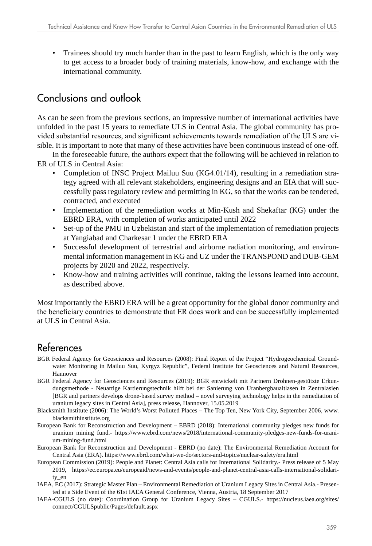• Trainees should try much harder than in the past to learn English, which is the only way to get access to a broader body of training materials, know-how, and exchange with the international community.

## Conclusions and outlook

As can be seen from the previous sections, an impressive number of international activities have unfolded in the past 15 years to remediate ULS in Central Asia. The global community has provided substantial resources, and significant achievements towards remediation of the ULS are visible. It is important to note that many of these activities have been continuous instead of one-off.

In the foreseeable future, the authors expect that the following will be achieved in relation to ER of ULS in Central Asia:

- Completion of INSC Project Mailuu Suu (KG4.01/14), resulting in a remediation strategy agreed with all relevant stakeholders, engineering designs and an EIA that will successfully pass regulatory review and permitting in KG, so that the works can be tendered, contracted, and executed
- Implementation of the remediation works at Min-Kush and Shekaftar (KG) under the EBRD ERA, with completion of works anticipated until 2022
- Set-up of the PMU in Uzbekistan and start of the implementation of remediation projects at Yangiabad and Charkesar 1 under the EBRD ERA
- Successful development of terrestrial and airborne radiation monitoring, and environmental information management in KG and UZ under the TRANSPOND and DUB-GEM projects by 2020 and 2022, respectively.
- Know-how and training activities will continue, taking the lessons learned into account, as described above.

Most importantly the EBRD ERA will be a great opportunity for the global donor community and the beneficiary countries to demonstrate that ER does work and can be successfully implemented at ULS in Central Asia.

## References

- BGR Federal Agency for Geosciences and Resources (2008): Final Report of the Project "Hydrogeochemical Groundwater Monitoring in Mailuu Suu, Kyrgyz Republic", Federal Institute for Geosciences and Natural Resources, Hannover
- BGR Federal Agency for Geosciences and Resources (2019): BGR entwickelt mit Partnern Drohnen-gestützte Erkundungsmethode - Neuartige Kartierungstechnik hilft bei der Sanierung von Uranbergbaualtlasen in Zentralasien [BGR and partners develops drone-based survey method – novel surveying technology helps in the remediation of uranium legacy sites in Central Asia], press release, Hannover, 15.05.2019
- Blacksmith Institute (2006): The World's Worst Polluted Places The Top Ten, New York City, September 2006, [www.](http://www.blacksmithinstitute.org) [blacksmithinstitute.org](http://www.blacksmithinstitute.org)
- European Bank for Reconstruction and Development EBRD (2018): International community pledges new funds for uranium mining fund.- [https://www.ebrd.com/news/2018/international-community-pledges-new-funds-for-urani](https://www.ebrd.com/news/2018/international-community-pledges-new-funds-for-uranium-mining-fund.html)[um-mining-fund.html](https://www.ebrd.com/news/2018/international-community-pledges-new-funds-for-uranium-mining-fund.html)
- European Bank for Reconstruction and Development EBRD (no date): The Environmental Remediation Account for Central Asia (ERA). <https://www.ebrd.com/what-we-do/sectors-and-topics/nuclear-safety/era.html>
- European Commission (2019): People and Planet: Central Asia calls for International Solidarity.- Press release of 5 May 2019, [https://ec.europa.eu/europeaid/news-and-events/people-and-planet-central-asia-calls-international-solidari](https://ec.europa.eu/europeaid/news-and-events/people-and-planet-central-asia-calls-international-solidarity_en)[ty\\_en](https://ec.europa.eu/europeaid/news-and-events/people-and-planet-central-asia-calls-international-solidarity_en)
- IAEA, EC (2017): Strategic Master Plan Environmental Remediation of Uranium Legacy Sites in Central Asia.- Presented at a Side Event of the 61st IAEA General Conference, Vienna, Austria, 18 September 2017
- IAEA-CGULS (no date): Coordination Group for Uranium Legacy Sites CGULS.- [https://nucleus.iaea.org/sites/](https://nucleus.iaea.org/sites/connect/CGULSpublic/Pages/default.aspx) [connect/CGULSpublic/Pages/default.aspx](https://nucleus.iaea.org/sites/connect/CGULSpublic/Pages/default.aspx)